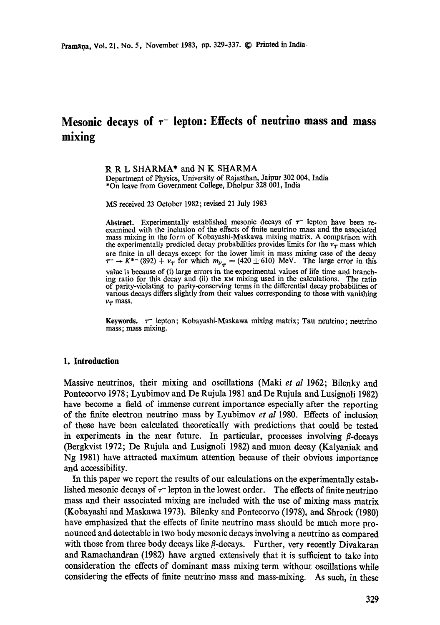# **Mesonic decays of**  $\tau$ **- lepton: Effects of neutrino mass and mass mixing**

R R L SHARMA\* and N K SHARMA Department of Physics, University of Rajasthan, Jaipur 302 004, India \*On leave from Government College, Dholpur 328 001, India

MS received 23 October 1982; revised 21 July 1983

Abstract. Experimentally established mesonic decays of  $\tau^-$  lepton have been reexamined with the inclusion of the effects of finite neutrino mass and the associated mass mixing in the form of Kobayashi-Maskawa mixing matrix. A comparison with the experimentally predicted decay probabilities provides limits for the  $v_T$  mass which **are** finite in all decays except for the lower limit in mass mixing case of the decay  $\tau^- \rightarrow K^{*-}$  (892)  $+ \nu_\tau$  for which  $m_{\nu_\tau} = (420 \pm 610)$  MeV. The large error in this value is because of (i) large errors in the experimental values of life time and branching ratio for this decay and (ii) the KM mixing used in the calculations. The ratio of parity-violating to parity-conserving terms in the differential decay probabilities of various decays differs slightly from their values corresponding to those with vanishing  $\nu_{\tau}$  mass.

Keywords.  $\tau$ <sup>-</sup> lepton; Kobayashi-Maskawa mixing matrix; Tau neutrino; neutrino mass; mass mixing.

#### **1. Introduction**

Massive neutrinos, their mixing and oscillations (Maki *et al* 1962; Bilenky and Pontecorvo 1978; Lyubimov and De Rujula 1981 and De Rujula and Lusignoli 1982) have become a field of immense current importance especially after the reporting of the finite electron neutrino mass by Lyubimov *et al* 1980. Effects of inclusion of these have been calculated theoretically with predictions that could be tested in experiments in the near future. In particular, processes involving  $\beta$ -decays (Bergkvist 1972; De Rujula and Lusignoli 1982) and muon decay (Kalyaniak and Ng 1981) have attracted maximum attention because of their obvious importance and accessibility.

In this paper we report the results of our calculations on the experimentally established mesonic decays of  $\tau$ - lepton in the lowest order. The effects of finite neutrino mass and their associated mixing are included with the use of mixing mass matrix (Kobayashi and Maskawa 1973). Bilenky and Pontecorvo (1978), and Shroek (1980) have emphasized that the effects of finite neutrino mass should be much more pronounced and deteetable in two body mesonic decays involving a neutrino as compared with those from three body decays like  $\beta$ -decays. Further, very recently Divakaran and Ramaehandran (1982) have argued extensively that it is sufficient to take into consideration the effects of dominant mass mixing term without oscillations while considering the effects of finite neutrino mass and mass-mixing. As such, in these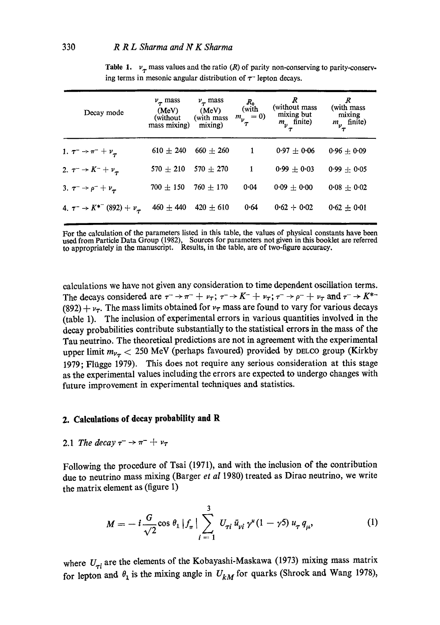| Decay mode                                  | $\nu_{\tau}$ mass<br>(MeV)<br>(without)<br>mass mixing) | $\nu_{\tau}$ mass<br>(MeV)<br>(with mass)<br>mixing) | $R_{0}$<br>(with<br>$m_{\nu} = 0$ | (without mass)<br>mixing but<br>$m_{\nu}$ finite) | (with mass<br>mixing<br>$m_{\nu_{\tau}}^{\text{main}}$ finite) |
|---------------------------------------------|---------------------------------------------------------|------------------------------------------------------|-----------------------------------|---------------------------------------------------|----------------------------------------------------------------|
| 1. $\tau^- \to \pi^- + \nu_{\tau}$          | $610 \pm 240$                                           | $660 + 260$                                          |                                   | $0.97 \pm 0.06$                                   | $0.96 + 0.09$                                                  |
| 2. $\tau^- \to K^- + \nu_\tau$              | $570 + 210$                                             | $570 \pm 270$                                        | 1                                 | $0.99 \pm 0.03$                                   | $0.99 \pm 0.05$                                                |
| 3. $\tau^- \to \rho^- + \nu_\tau$           | $700 \pm 150$                                           | $760 \pm 170$                                        | 0.04                              | $0.09 \pm 0.00$                                   | $0.08 + 0.02$                                                  |
| 4. $\tau^- \to K^{*-}$ (892) + $\nu_{\tau}$ | $460 \pm 440$                                           | $420 + 610$                                          | 0.64                              | $0.62 + 0.02$                                     | $0.62 \pm 0.01$                                                |

**Table 1.**  $v_{\tau}$  mass values and the ratio (R) of parity non-conserving to parity-conserving terms in mesonic angular distribution of  $\tau$ <sup>-</sup> lepton decays.

For the calculation of the parameters listed in this table, the values of physical constants have been used from Particle Data Group (1982), Sources for parameters not given in this booklet are referred to appropriately in the manuscript. Results, in the table, are of two-figure accuracy.

calculations we have not given any consideration to time dependent oscillation terms. The decays considered are  $\tau \to \pi^- + \nu_\tau$ ;  $\tau \to K^- + \nu_\tau$ ;  $\tau \to \rho^- + \nu_\tau$  and  $\tau \to K^{*-}$ (892) +  $v<sub>\tau</sub>$ . The mass limits obtained for  $v<sub>\tau</sub>$  mass are found to vary for various decays (table 1). The inclusion of experimental errors in various quantifies involved in the decay probabilities contribute substantially to the statistical errors in the mass of the Tau neutrino. The theoretical predictions are not in agreement with the experimental upper limit  $m_{\nu_{\tau}} < 250$  MeV (perhaps favoured) provided by DELCO group (Kirkby 1979; Fliigge 1979). This does not require any serious consideration at this stage as the experimental values including the errors are expected to undergo changes with future improvement in experimental techniques and statistics.

## **2. Calculations of decay probability and R**

## 2.1 *The decay*  $\tau^- \to \pi^- + \nu_{\tau}$

Following the procedure of Tsai (1971), and with the inclusion of the contribution due to neutrino mass mixing (Barger *et al* 1980) treated as Dirao neutrino, we write the matrix element as (figure 1)

$$
M = -i\frac{G}{\sqrt{2}}\cos\theta_1 |f_{\pi}| \sum_{i=1}^3 U_{\tau i} \bar{u}_{\nu i} \gamma^u (1 - \gamma 5) u_{\tau} q_{\mu}, \qquad (1)
$$

where  $U_{\tau i}$  are the elements of the Kobayashi-Maskawa (1973) mixing mass matrix for lepton and  $\theta_1$  is the mixing angle in  $U_{kM}$  for quarks (Shrock and Wang 1978),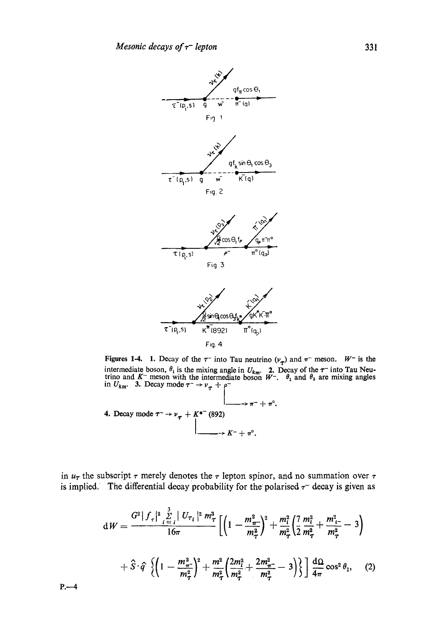

Figures 1-4. 1. Decay of the  $\tau^-$  into Tau neutrino  $(\nu_\tau)$  and  $\pi^-$  meson.  $W^-$  is the intermediate boson,  $\theta_1$  is the mixing angle in  $U_{km}$ . **2.** Decay of the  $\tau^-$  into Tau Neutrino and K<sup>-</sup> meson with the intermediate boson  $W^-$ .  $\theta_1$  and  $\theta_3$  are mixing angles in  $U_{km}$ . 3. Decay mode  $\tau^- \rightarrow \nu_{\tau} + \rho^-$ 

4. Decay mode 
$$
\tau^- \rightarrow \nu_{\tau} + K^{*-}
$$
 (892)  
\n
$$
\downarrow \qquad \qquad \downarrow \qquad \qquad \downarrow \qquad \qquad \downarrow
$$
\n
$$
\downarrow \qquad \qquad \downarrow \qquad \downarrow \qquad \downarrow \qquad \downarrow
$$
\n
$$
\downarrow \qquad \qquad \downarrow \qquad \downarrow \qquad \downarrow \qquad \downarrow \qquad \downarrow \qquad \downarrow \qquad \downarrow \qquad \downarrow \qquad \downarrow \qquad \downarrow \qquad \downarrow \qquad \downarrow \qquad \downarrow \qquad \downarrow \qquad \downarrow \qquad \downarrow \qquad \downarrow \qquad \downarrow \qquad \downarrow \qquad \downarrow \qquad \downarrow \qquad \downarrow \qquad \downarrow \qquad \downarrow \qquad \downarrow \qquad \downarrow \qquad \downarrow \qquad \downarrow \qquad \downarrow \qquad \downarrow \qquad \downarrow \qquad \downarrow \qquad \downarrow \qquad \downarrow \qquad \downarrow \qquad \downarrow \qquad \downarrow \qquad \downarrow \qquad \downarrow \qquad \downarrow \qquad \downarrow \qquad \downarrow \qquad \downarrow \qquad \downarrow \qquad \downarrow \qquad \downarrow \qquad \downarrow \qquad \downarrow \qquad \downarrow \qquad \downarrow \qquad \downarrow \qquad \downarrow \qquad \downarrow \qquad \downarrow \qquad \downarrow \qquad \downarrow \qquad \downarrow \qquad \downarrow \qquad \downarrow \qquad \downarrow \qquad \downarrow \qquad \downarrow \qquad \downarrow \qquad \downarrow \qquad \downarrow \qquad \downarrow \qquad \downarrow \qquad \downarrow \qquad \downarrow \qquad \downarrow \qquad \downarrow \qquad \downarrow \qquad \downarrow \qquad \downarrow \qquad \downarrow \qquad \downarrow \qquad \downarrow \qquad \downarrow \qquad \downarrow \qquad \downarrow \qquad \downarrow \qquad \downarrow \qquad \downarrow \qquad \downarrow \qquad \downarrow \qquad \downarrow \qquad \downarrow \qquad \downarrow \qquad \downarrow \qquad \downarrow \qquad \downarrow \qquad \downarrow \qquad \downarrow \qquad \downarrow \qquad \downarrow \qquad \downarrow \qquad \downarrow \qquad \downarrow \qquad \downarrow \qquad \downarrow \qquad \downarrow \qquad \downarrow \qquad \downarrow \qquad \downarrow \qquad \downarrow \qquad \downarrow \qquad \downarrow \q
$$

in  $u_{\tau}$  the subscript  $\tau$  merely denotes the  $\tau$  lepton spinor, and no summation over  $\tau$ is implied. The differential decay probability for the polarised  $\tau^-$  decay is given as

$$
dW = \frac{G^2|f_{\tau}|^2 \sum\limits_{i=1}^{3} |U_{\tau_i}|^2 m_{\tau}^3}{16\pi} \Biggl[ \Biggl( 1 - \frac{m_{\pi}^2}{m_{\tau}^2} \Biggr)^2 + \frac{m_i^2}{m_{\tau}^2} \Biggl( \frac{7}{2} \frac{m_i^2}{m_{\tau}^2} + \frac{m_{i-}^2}{m_{\tau}^2} - 3 \Biggr) + \hat{S} \cdot \hat{q} \Biggl( 1 - \frac{m_{\pi}^2}{m_{\tau}^2} \Biggr)^2 + \frac{m^2}{m_{\tau}^2} \Biggl( \frac{2m_i^2}{m_{\tau}^2} + \frac{2m_{\pi}^2}{m_{\tau}^2} - 3 \Biggr) \Biggr\} \Biggr] \frac{d\Omega}{4\pi} \cos^2 \theta_1, \quad (2)
$$

 $P - 4$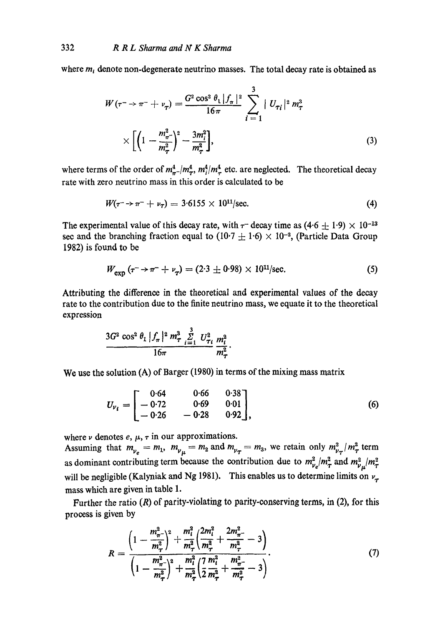where  $m_i$  denote non-degenerate neutrino masses. The total decay rate is obtained as

$$
W(\tau^- \to \pi^- + \nu_\tau) = \frac{G^2 \cos^2 \theta_1 |f_\pi|^2}{16\pi} \sum_{i=1}^3 |U_{\tau_i}|^2 m_\tau^3
$$
  
 
$$
\times \left[ \left( 1 - \frac{m_\pi^2}{m_\tau^2} \right)^2 - \frac{3m_i^2}{m_\tau^2} \right],
$$
 (3)

where terms of the order of  $m_{\pi}^4/m_{\pi}^4$ ,  $m_{\pi}^4/m_{\pi}^4$  etc. are neglected. The theoretical decay rate with zero neutrino mass in this order is calculated to be

$$
W(\tau^{-} \to \pi^{-} + \nu_{\tau}) = 3.6155 \times 10^{11}/\text{sec.}
$$
 (4)

The experimental value of this decay rate, with  $\tau$ -decay time as  $(4.6 \pm 1.9) \times 10^{-13}$ sec and the branching fraction equal to  $(10.7 \pm 1.6) \times 10^{-2}$ , (Particle Data Group 1982) is found to be

$$
W_{\rm exp} (r^- \to \pi^- + \nu_\tau) = (2.3 \pm 0.98) \times 10^{11} / \text{sec.}
$$
 (5)

Attributing the difference in the theoretical and experimental values of the decay rate to the contribution due to the finite neutrino mass, we equate it to the theoretical expression

$$
\frac{3G^2 \cos^2 \theta_1 |f_{\pi}|^2 m_{\tau}^3 \sum\limits_{i=1}^3 U_{\tau_i}^2 m_i^2}{16\pi} \cdot \frac{m_{\tau}^2 m_i^2}{m_{\tau}^2}.
$$

We use the solution (A) of Barger (1980) in terms of the mixing mass matrix

$$
U_{\nu_i} = \begin{bmatrix} 0.64 & 0.66 & 0.38 \\ -0.72 & 0.69 & 0.01 \\ -0.26 & -0.28 & 0.92 \end{bmatrix},
$$
 (6)

where  $\nu$  denotes  $e, \mu, \tau$  in our approximations. Assuming that  $m_{\nu_e} = m_1$ ,  $m_{\nu_\mu} = m_2$  and  $m_{\nu_\tau} = m_3$ , we retain only  $m_{\nu_\tau}^2/m_\tau^2$  term as dominant contributing term because the contribution due to  $m_{\nu_e}^2/m_{\tau}^2$  and  $m_{\nu_\mu}^2/m_{\tau}^2$ will be negligible (Kalyniak and Ng 1981). This enables us to determine limits on  $v_{\tau}$ mass which are given in table 1.

Further the ratio  $(R)$  of parity-violating to parity-conserving terms, in  $(2)$ , for this process is given by

$$
R = \frac{\left(1 - \frac{m_{\pi}^2}{m_{\tau}^2}\right)^2 + \frac{m_l^2}{m_{\tau}^2} \left(\frac{2m_l^2}{m_{\tau}^2} + \frac{2m_{\pi}^2}{m_{\tau}^2} - 3\right)}{\left(1 - \frac{m_{\pi}^2}{m_{\tau}^2}\right)^2 + \frac{m_l^2}{m_{\tau}^2} \left(\frac{7}{2} \frac{m_l^2}{m_{\tau}^2} + \frac{m_{\pi}^2}{m_{\tau}^2} - 3\right)}.
$$
\n(7)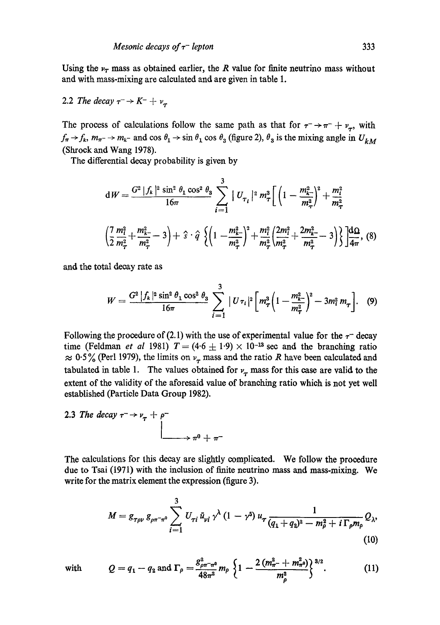Using the  $\nu_T$  mass as obtained earlier, the R value for finite neutrino mass without and with mass-mixing are calculated and are given in table 1.

2.2 The decay 
$$
\tau^- \rightarrow K^- + \nu_\tau
$$

The process of calculations follow the same path as that for  $\tau \rightarrow \tau + \nu_{\tau}$ , with  $f_{\pi} \rightarrow f_k$ ,  $m_{\pi^-} \rightarrow m_{k^-}$  and cos  $\theta_1 \rightarrow \sin \theta_1 \cos \theta_3$  (figure 2),  $\theta_3$  is the mixing angle in  $U_{kM}$ (Shroek and Wang 1978).

The differential decay probability is given by

$$
dW = \frac{G^2 |f_k|^2 \sin^2 \theta_1 \cos^2 \theta_3}{16\pi} \sum_{i=1}^3 |U_{\tau_i}|^2 m_\tau^3 \left[ \left( 1 - \frac{m_{k-1}^2}{m_\tau^2} \right)^2 + \frac{m_i^2}{m_\tau^2} \right]
$$

$$
\left( \frac{7}{2} \frac{m_i^2}{m_\tau^2} + \frac{m_{k-1}^2}{m_\tau^2} - 3 \right) + \hat{s} \cdot \hat{q} \left\{ \left( 1 - \frac{m_{k-1}^2}{m_\tau^2} \right)^2 + \frac{m_i^2}{m_\tau^2} \left( \frac{2m_i^2}{m_\tau^2} + \frac{2m_{k-1}^2}{m_\tau^2} - 3 \right) \right\} \right] \frac{d\Omega}{4\pi}, \text{ (8)}
$$

and the total decay rate as

$$
W = \frac{G^2 |f_k|^2 \sin^2 \theta_1 \cos^2 \theta_3}{16\pi} \sum_{i=1}^3 |U\tau_i|^2 \bigg[ m_\tau^3 \bigg(1 - \frac{m_{k-}^2}{m_\tau^2}\bigg)^2 - 3m_i^2 m_\tau \bigg]. \quad (9)
$$

Following the procedure of (2.1) with the use of experimental value for the  $\tau^-$  decay time (Feldman *et al* 1981)  $T = (4.6 \pm 1.9) \times 10^{-13}$  sec and the branching ratio  $\approx 0.5\%$  (Perl 1979), the limits on  $v<sub>\tau</sub>$  mass and the ratio R have been calculated and tabulated in table 1. The values obtained for  $\nu_{\tau}$  mass for this case are valid to the extent of the validity of the aforesaid value of branching ratio which is not yet well established (Particle Data Group 1982).

2.3 The decay 
$$
\tau \rightarrow \nu_{\tau} + \rho^{-}
$$
  
\n
$$
\downarrow \qquad \qquad \downarrow \qquad \qquad \downarrow \qquad \qquad \downarrow \qquad \qquad \downarrow \qquad \downarrow \qquad \downarrow \qquad \downarrow \qquad \downarrow \qquad \downarrow
$$

The calculations for this decay are slightly complicated. We follow the procedure due to Tsai (1971) with the inclusion of finite neutrino mass and mass-mixing. We write for the matrix element the expression (figure 3).

$$
M = g_{\tau \rho \nu} g_{\rho \pi^{-} \pi^{0}} \sum_{i=1}^{3} U_{\tau i} \bar{u}_{\nu i} \gamma^{\lambda} (1 - \gamma^{5}) u_{\tau} \frac{1}{(q_{1} + q_{2})^{2} - m_{\rho}^{2} + i \Gamma_{\rho} m_{\rho}} Q_{\lambda},
$$
\n(10)

with 
$$
Q = q_1 - q_2
$$
 and  $\Gamma_\rho = \frac{g_{\rho\pi^-\pi^0}^2}{48\pi^2} m_\rho \left\{ 1 - \frac{2(m_\pi^2 + m_\pi^2 \omega)}{m_\rho^2} \right\}^{3/2}$ . (11)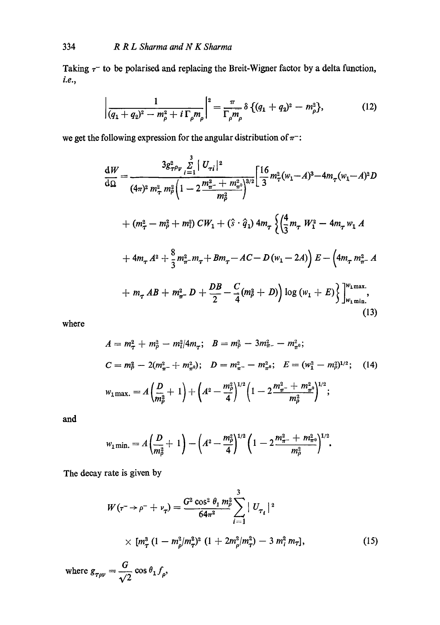Taking  $\tau$  to be polarised and replacing the Breit-Wigner factor by a delta function, *i.e.,* 

$$
\left|\frac{1}{(q_1+q_2)^2-m_\rho^2+i\,\Gamma_\rho m_\rho}\right|^2=\frac{\pi}{\Gamma_\rho m_\rho}\,\delta\,\{(q_1+q_2)^2-m_\rho^2\},\qquad\qquad(12)
$$

we get the following expression for the angular distribution of  $\pi^-$ :

$$
\frac{dW}{d\Omega} = \frac{3g_{\tau \rho \nu}^2 \sum\limits_{i=1}^3 |U_{\tau i}|^2}{(4\pi)^2 m_{\tau}^2 m_{\rho}^2 \left(1 - 2\frac{m_{\tau}^2 + m_{\tau \rho}^2}{m_{\rho}^2}\right)^{3/2}} \left[\frac{16}{3} m_{\tau}^2 (w_1 - A)^3 - 4m_{\tau} (w_1 - A)^2 D \right. \\
\left. + (m_{\tau}^2 - m_{\rho}^2 + m_{\tau}^2) \, C W_1 + (\hat{s} \cdot \hat{q}_1) \, 4m_{\tau} \left\{ \left(\frac{4}{3} m_{\tau} \, W_1^2 - 4m_{\tau} \, w_1 \, A \right.\right. \\
\left. + 4m_{\tau} \, A^2 + \frac{8}{3} m_{\tau}^2 - m_{\tau} + B m_{\tau} - AC - D(w_1 - 2A) \right) E - \left(4m_{\tau} \, m_{\tau}^2 - A \right. \\
\left. + m_{\tau} \, AB + m_{\tau}^2 - D + \frac{DB}{2} - \frac{C}{4} (m_{\rho}^2 + D) \right) \log (w_1 + E) \right\} \Big]_{w_1 m \text{ in.}}^{w_1 m \text{ ax.}} \tag{13}
$$

where

$$
A = m_{\tau}^{2} + m_{\rho}^{2} - m_{1}^{2}/4m_{\tau}; \quad B = m_{\rho}^{2} - 3m_{\pi}^{2} - m_{\pi^{0}}^{2};
$$
  
\n
$$
C = m_{\rho}^{2} - 2(m_{\pi}^{2} + m_{\pi^{0}}^{2}); \quad D = m_{\pi}^{2} - m_{\pi^{0}}^{2}; \quad E = (w_{1}^{2} - m_{\rho}^{2})^{1/2}; \quad (14)
$$
  
\n
$$
w_{1} \text{max.} = A \left(\frac{D}{m_{\rho}^{2}} + 1\right) + \left(A^{2} - \frac{m_{\rho}^{2}}{4}\right)^{1/2} \left(1 - 2\frac{m_{\pi}^{2} + m_{\pi^{0}}^{2}}{m_{\rho}^{2}}\right)^{1/2};
$$

and

$$
w_{1\,\text{min.}}=A\left(\frac{D}{m_{\rho}^2}+1\right)-\left(A^2-\frac{m_{\rho}^2}{4}\right)^{1/2}\left(1-2\frac{m_{\pi^-}^2+m_{\pi^0}^2}{m_{\rho}^2}\right)^{1/2}.
$$

The decay rate is given by

$$
W(\tau^- \to \rho^- + \nu_\tau) = \frac{G^2 \cos^2 \theta_1 m_\rho^2}{64\pi^2} \sum_{i=1}^3 |U_{\tau_i}|^2
$$
  
 
$$
\times [m_\tau^3 (1 - m_\rho^2/m_\tau^2)^2 (1 + 2m_\rho^2/m_\tau^2) - 3 m_i^2 m_\tau],
$$
 (15)

where  $g_{\tau\rho\nu} = \frac{G}{\sqrt{2}} \cos \theta_1 f_\rho$ ,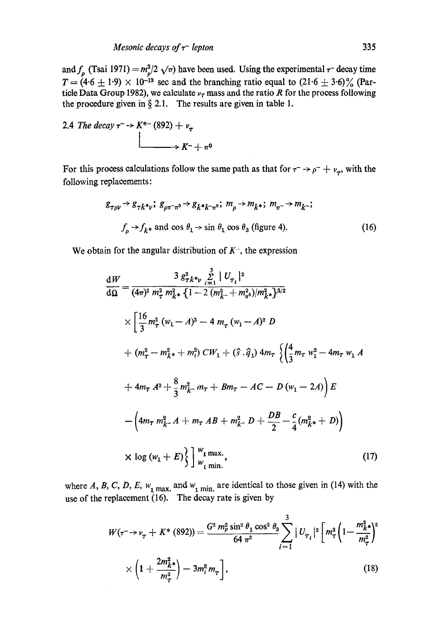and  $f_a$  (Tsai 1971)  $=m_a^2/2 \sqrt{\pi}$  have been used. Using the experimental  $\tau^-$  decay time  $T = (4.6 \pm 1.9) \times 10^{-13}$  sec and the branching ratio equal to  $(21.6 \pm 3.6)\%$  (Particle Data Group 1982), we calculate  $\nu$ <sub>r</sub> mass and the ratio R for the process following the procedure given in  $\S 2.1$ . The results are given in table 1.

2.4 The decay 
$$
\tau \rightarrow K^{*-}
$$
 (892) +  $\nu_{\tau}$   

$$
\downarrow
$$

$$
\downarrow
$$

$$
\downarrow
$$

$$
\downarrow
$$

$$
\downarrow
$$

$$
\downarrow
$$

$$
\downarrow
$$

$$
\downarrow
$$

$$
\downarrow
$$

$$
\downarrow
$$

$$
\downarrow
$$

$$
\downarrow
$$

$$
\downarrow
$$

$$
\downarrow
$$

$$
\downarrow
$$

$$
\downarrow
$$

$$
\downarrow
$$

$$
\downarrow
$$

$$
\downarrow
$$

$$
\downarrow
$$

$$
\downarrow
$$

$$
\downarrow
$$

$$
\downarrow
$$

$$
\downarrow
$$

$$
\downarrow
$$

$$
\downarrow
$$

$$
\downarrow
$$

$$
\downarrow
$$

$$
\downarrow
$$

$$
\downarrow
$$

$$
\downarrow
$$

$$
\downarrow
$$

$$
\downarrow
$$

$$
\downarrow
$$

$$
\downarrow
$$

$$
\downarrow
$$

$$
\downarrow
$$

$$
\downarrow
$$

$$
\downarrow
$$

$$
\downarrow
$$

$$
\downarrow
$$

$$
\downarrow
$$

$$
\downarrow
$$

$$
\downarrow
$$

$$
\downarrow
$$

$$
\downarrow
$$

$$
\downarrow
$$

$$
\downarrow
$$

$$
\downarrow
$$

$$
\downarrow
$$

$$
\downarrow
$$

$$
\downarrow
$$

$$
\downarrow
$$

$$
\downarrow
$$

$$
\downarrow
$$

$$
\downarrow
$$

$$
\downarrow
$$

$$
\downarrow
$$

$$
\downarrow
$$

$$
\downarrow
$$

$$
\downarrow
$$

$$
\downarrow
$$

$$
\downarrow
$$

$$
\downarrow
$$

$$
\downarrow
$$

$$
\downarrow
$$

$$
\downarrow
$$

$$
\downarrow
$$

$$
\downarrow
$$

$$
\downarrow
$$

$$
\downarrow
$$

$$
\downarrow
$$

$$
\downarrow
$$
<

For this process calculations follow the same path as that for  $\tau \rightarrow \rho^- + \nu_\tau$ , with the following replacements:

 $\overline{a}$ 

$$
g_{\tau\rho\nu} \to g_{\tau k^* \nu}; \ g_{\rho\pi^-\pi^0} \to g_{k^* k^-\pi^0}; \ m_{\rho} \to m_{k^*}; \ m_{\pi^-} \to m_{k^-};
$$
  

$$
f_{\rho} \to f_{k^*} \text{ and } \cos \theta_1 \to \sin \theta_1 \cos \theta_3 \text{ (figure 4).}
$$
 (16)

We obtain for the angular distribution of  $K^-$ , the expression

$$
\frac{dW}{d\Omega} = \frac{3 g_{7k^*v}^2 \sum_{i=1}^3 |U_{\tau_i}|^2}{(4\pi)^2 m_{\tau}^2 m_{k^*}^2 \{1 - 2 (m_{k^-}^2 + m_{\pi^0}^2)/m_{k^*}^2\}^{3/2}}
$$
  
\n
$$
\times \left[ \frac{16}{3} m_{\tau}^2 (w_1 - A)^3 - 4 m_{\tau} (w_1 - A)^2 D \right]
$$
  
\n+  $(m_{\tau}^2 - m_{k^*}^2 + m_i^2) C W_1 + (\hat{s} \cdot \hat{q}_1) 4m_{\tau} \left\{ \left( \frac{4}{3} m_{\tau} w_1^2 - 4 m_{\tau} w_1 A \right) \right\}$   
\n+  $4m_{\tau} A^2 + \frac{8}{3} m_{k^-}^2 m_{\tau} + B m_{\tau} - AC - D (w_1 - 2A) E$   
\n-  $\left( 4m_{\tau} m_{k^-}^2 A + m_{\tau} AB + m_{k^-}^2 D + \frac{DB}{2} - \frac{c}{4} (m_{k^*}^2 + D) \right)$   
\n $\times \log (w_1 + E) \left\{ \left| \begin{array}{l} w_1 \text{ max} \\ w_1 \text{ min} \end{array} \right|, \right.$  (17)

where A, B, C, D, E,  $w_1$  max. and  $w_1$  min. are identical to those given in (14) with the use of the replacement  $(16)$ . The decay rate is given by

$$
W(\tau \to \nu_{\tau} + K^* (892)) = \frac{G^2 m_p^2 \sin^2 \theta_1 \cos^2 \theta_3}{64 \pi^2} \sum_{i=1}^3 |U_{\tau_i}|^2 \left[ m_{\tau}^3 \left( 1 - \frac{m_{k^*}^2}{m_{\tau}^2} \right)^2 \right] \times \left( 1 + \frac{2m_{k^*}^2}{m_{\tau}^2} \right) - 3m_i^2 m_{\tau} \right],
$$
\n(18)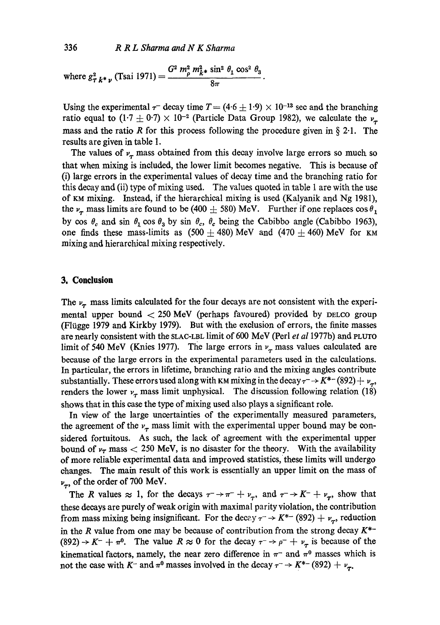where 
$$
g_{\tau}^2{}_{k^* \nu}
$$
 (Tsai 1971) = 
$$
\frac{G^2 m_\rho^2 m_{k^*}^2 \sin^2 \theta_1 \cos^2 \theta_3}{8\pi}
$$

Using the experimental  $\tau^-$  decay time  $T = (4.6 \pm 1.9) \times 10^{-13}$  sec and the branching ratio equal to  $(1.7 \pm 0.7) \times 10^{-2}$  (Particle Data Group 1982), we calculate the  $\nu_{\tau}$ mass and the ratio R for this process following the procedure given in  $\S 2.1$ . The results are given in table 1.

The values of  $v_{\tau}$  mass obtained from this decay involve large errors so much so that when mixing is included, the lower limit becomes negative. This is because of (i) large errors in the experimental values of decay time and the branching ratio for this decay and (ii) type of mixing used. The values quoted in table 1 are with the use of KM mixing. Instead, if the hierarchical mixing is used (Kalyanik and. Ng 1981), the  $\nu_{\tau}$  mass limits are found to be (400  $\pm$  580) MeV. Further if one replaces cos  $\theta_1$ by cos  $\theta_c$  and sin  $\theta_1$  cos  $\theta_3$  by sin  $\theta_c$ ,  $\theta_c$  being the Cabibbo angle (Cabibbo 1963), one finds these mass-limits as  $(500 \pm 480)$  MeV and  $(470 \pm 460)$  MeV for KM mixing and hierarchical mixing respectively.

#### **3. Conclusion**

The  $\nu_{\tau}$  mass limits calculated for the four decays are not consistent with the experimental upper bound  $<$  250 MeV (perhaps favoured) provided by DELCO group (Flügge 1979 and Kirkby 1979). But with the exclusion of errors, the finite masses are nearly consistent with the SLAC-LBL limit of 600 MeV (Perl *et a11977b)* and PLUTO limit of 540 MeV (Knies 1977). The large errors in  $\nu_{\tau}$  mass values calculated are because of the large errors in the experimental parameters used in the calculations. In particular, the errors in lifetime, branching ratio and the mixing angles contribute substantially. These errors used along with KM mixing in the decay  $\tau \to K^{*-}$  (892)  $+\nu_{\tau}$ , renders the lower  $v_{\tau}$  mass limit unphysical. The discussion following relation (18) shows that in this ease the type of mixing used also plays a significant role.

In view of the large uncertainties of the experimentally measured parameters, the agreement of the  $v_{\tau}$  mass limit with the experimental upper bound may be considered fortuitous. As such, the lack of agreement with the experimental upper bound of  $v<sub>\tau</sub>$  mass  $<$  250 MeV, is no disaster for the theory. With the availability of more reliable experimental data and improved statistics, these limits will undergo changes. The main result of this work is essentially an upper limit on the mass of  $v_{\tau}$ , of the order of 700 MeV.

The R values  $\approx 1$ , for the decays  $\tau \rightarrow \pi^- + \nu_\tau$ , and  $\tau \rightarrow K^- + \nu_\tau$ , show that these decays are purely of weak origin with maximal parity violation, the contribution from mass mixing being insignificant. For the decay  $\tau \to K^{*-}$  (892)  $+ v_{\tau}$ , reduction in the R value from one may be because of contribution from the strong decay  $K^*$ -(892)  $\rightarrow K^- + \pi^0$ . The value  $R \approx 0$  for the decay  $\tau \rightarrow \rho^- + \nu_\tau$  is because of the kinematical factors, namely, the near zero difference in  $\pi^-$  and  $\pi^0$  masses which is not the case with K<sup>-</sup> and  $\pi^0$  masses involved in the decay  $\tau \to K^{*-}$  (892)  $+ \nu_{\tau}$ .